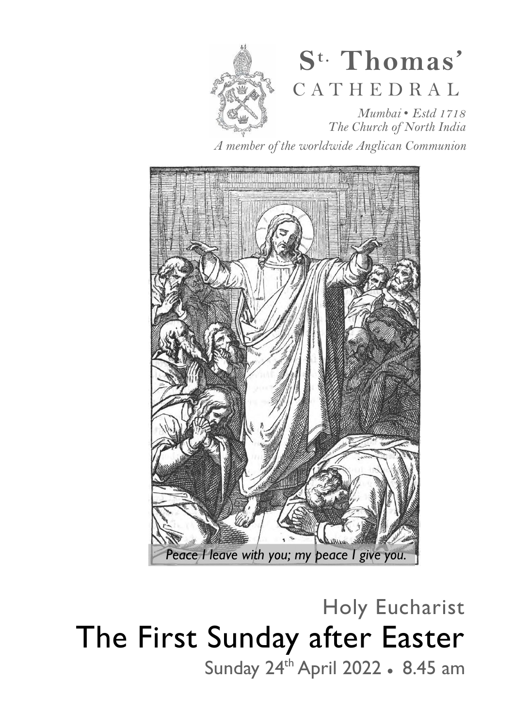

# **S t. Thomas'**  C A T H E D R A L

*Mumbai* • *Estd 1718 The Church of North India* 

*A member of the worldwide Anglican Communion* 



Holy Eucharist The First Sunday after Easter Sunday 24<sup>th</sup> April 2022 • 8.45 am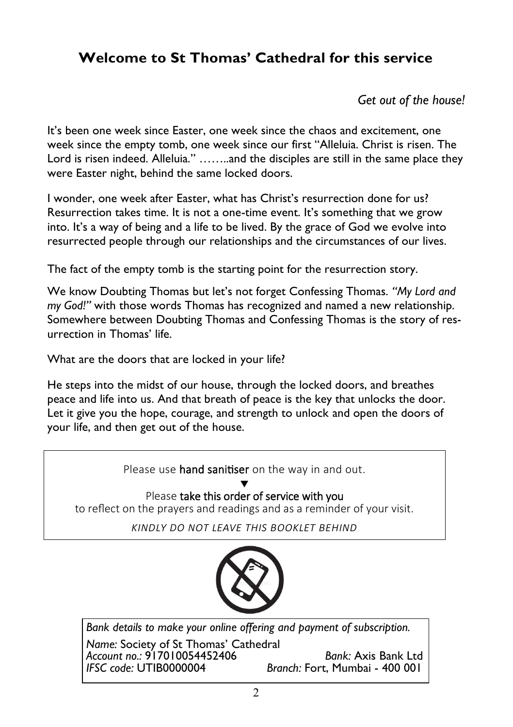# **Welcome to St Thomas' Cathedral for this service**

*Get out of the house!* 

It's been one week since Easter, one week since the chaos and excitement, one week since the empty tomb, one week since our first "Alleluia. Christ is risen. The Lord is risen indeed. Alleluia." .......and the disciples are still in the same place they were Easter night, behind the same locked doors.

I wonder, one week after Easter, what has Christ's resurrection done for us? Resurrection takes time. It is not a one-time event. It's something that we grow into. It's a way of being and a life to be lived. By the grace of God we evolve into resurrected people through our relationships and the circumstances of our lives.

The fact of the empty tomb is the starting point for the resurrection story.

We know Doubting Thomas but let's not forget Confessing Thomas. *"My Lord and my God!"* with those words Thomas has recognized and named a new relationship. Somewhere between Doubting Thomas and Confessing Thomas is the story of resurrection in Thomas' life.

What are the doors that are locked in your life?

He steps into the midst of our house, through the locked doors, and breathes peace and life into us. And that breath of peace is the key that unlocks the door. Let it give you the hope, courage, and strength to unlock and open the doors of your life, and then get out of the house.

Please use hand sanitiser on the way in and out. ▼ Please take this order of service with you to reflect on the prayers and readings and as a reminder of your visit. *kindly do not leave this booklet behind* 

*Bank details to make your online offering and payment of subscription.* 

*Name:* Society of St Thomas' Cathedral *Account no.:* 917010054452406 *Bank:* Axis Bank Ltd *Branch: Fort, Mumbai - 400 001*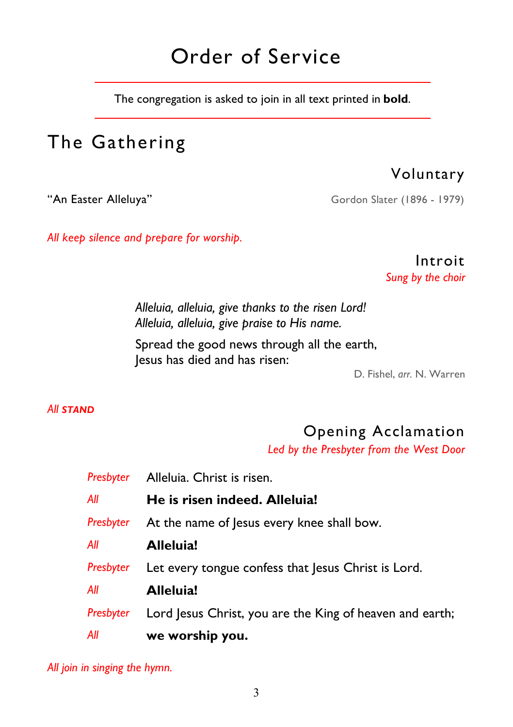# Order of Service

The congregation is asked to join in all text printed in **bold**.

# The Gathering

Voluntary

"An Easter Alleluya" Gordon Slater (1896 - 1979)

*All keep silence and prepare for worship.* 

Introit *Sung by the choir* 

 *Alleluia, alleluia, give thanks to the risen Lord! Alleluia, alleluia, give praise to His name.* 

Spread the good news through all the earth, Jesus has died and has risen:

D. Fishel, *arr.* N. Warren

#### *All STAND*

# Opening Acclamation

*Led by the Presbyter from the West Door* 

|           | Presbyter Alleluia. Christ is risen.                     |
|-----------|----------------------------------------------------------|
| Αll       | He is risen indeed. Alleluia!                            |
| Presbyter | At the name of Jesus every knee shall bow.               |
| All       | Alleluia!                                                |
| Presbyter | Let every tongue confess that Jesus Christ is Lord.      |
| Αll       | Alleluia!                                                |
| Presbyter | Lord Jesus Christ, you are the King of heaven and earth; |
| Αll       | we worship you.                                          |

*All join in singing the hymn.*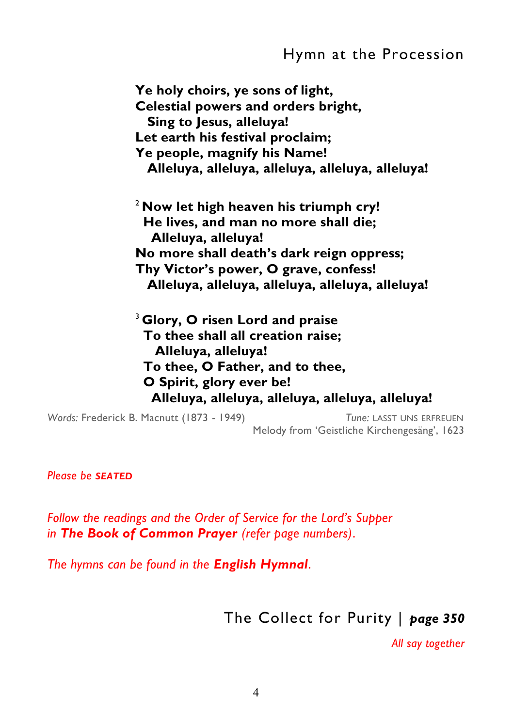**Ye holy choirs, ye sons of light, Celestial powers and orders bright, Sing to Jesus, alleluya! Let earth his festival proclaim; Ye people, magnify his Name! Alleluya, alleluya, alleluya, alleluya, alleluya!**  <sup>2</sup>**Now let high heaven his triumph cry! He lives, and man no more shall die; Alleluya, alleluya! No more shall death's dark reign oppress; Thy Victor's power, O grave, confess! Alleluya, alleluya, alleluya, alleluya, alleluya!**  <sup>3</sup>**Glory, O risen Lord and praise To thee shall all creation raise; Alleluya, alleluya!** 

 **To thee, O Father, and to thee,** 

 **O Spirit, glory ever be!** 

 **Alleluya, alleluya, alleluya, alleluya, alleluya!** 

*Words:* Frederick B. Macnutt (1873 - 1949) *Tune:* LASST UNS ERFREUEN Melody from 'Geistliche Kirchengesäng', 1623

*Please be SEATED*

*Follow the readings and the Order of Service for the Lord's Supper in The Book of Common Prayer (refer page numbers)*.

*The hymns can be found in the English Hymnal*.

The Collect for Purity | *page 350* 

*All say together*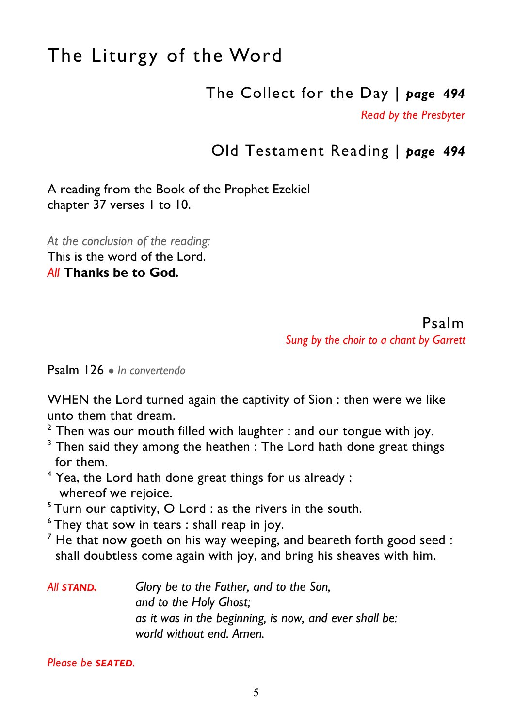# The Liturgy of the Word

The Collect for the Day | *page 494* 

*Read by the Presbyter* 

## Old Testament Reading | *page 494*

A reading from the Book of the Prophet Ezekiel chapter 37 verses 1 to 10.

*At the conclusion of the reading:*  This is the word of the Lord. *All* **Thanks be to God***.* 

#### Psalm *Sung by the choir to a chant by Garrett*

Psalm 126 ● *In convertendo* 

WHEN the Lord turned again the captivity of Sion : then were we like unto them that dream.

 $2$  Then was our mouth filled with laughter : and our tongue with joy.

 $3$  Then said they among the heathen : The Lord hath done great things for them.

 $4$  Yea, the Lord hath done great things for us already : whereof we rejoice.

 $5$ Turn our captivity, O Lord : as the rivers in the south.

 $6$ They that sow in tears : shall reap in joy.

 $^7$  He that now goeth on his way weeping, and beareth forth good seed : shall doubtless come again with joy, and bring his sheaves with him.

| All STAND. | Glory be to the Father, and to the Son,                |
|------------|--------------------------------------------------------|
|            | and to the Holy Ghost;                                 |
|            | as it was in the beginning, is now, and ever shall be: |
|            | world without end. Amen.                               |

*Please be SEATED.*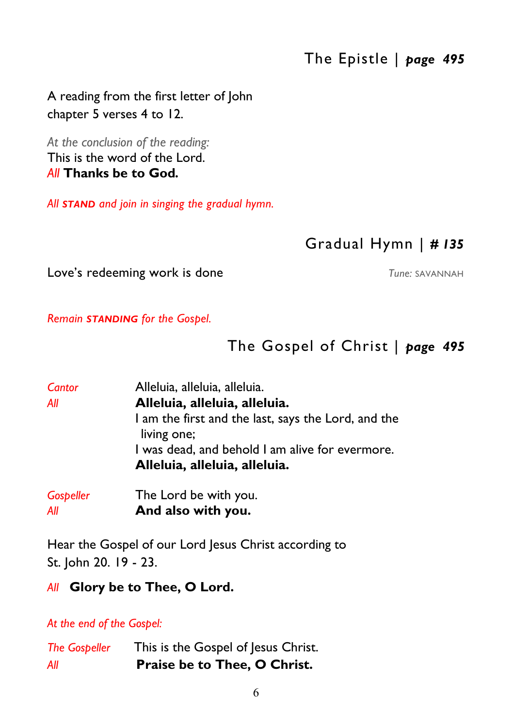# The Epistle | *page 495*

A reading from the first letter of John chapter 5 verses 4 to 12.

*At the conclusion of the reading:*  This is the word of the Lord. *All* **Thanks be to God***.* 

*All STAND and join in singing the gradual hymn.* 

#### Gradual Hymn | *# 135*

Love's redeeming work is done *Tune:* SAVANNAH

*Remain STANDING for the Gospel.* 

## The Gospel of Christ | *page 495*

| Cantor    | Alleluia, alleluia, alleluia.                                      |
|-----------|--------------------------------------------------------------------|
| All       | Alleluia, alleluia, alleluia.                                      |
|           | I am the first and the last, says the Lord, and the<br>living one; |
|           | I was dead, and behold I am alive for evermore.                    |
|           | Alleluia, alleluia, alleluia.                                      |
| Gospeller | The Lord be with you.                                              |

*All* **And also with you.** 

Hear the Gospel of our Lord Jesus Christ according to St. John 20. 19 - 23.

#### *All* **Glory be to Thee, O Lord.**

*At the end of the Gospel:* 

| <b>The Gospeller</b> | This is the Gospel of Jesus Christ. |
|----------------------|-------------------------------------|
| All                  | Praise be to Thee, O Christ.        |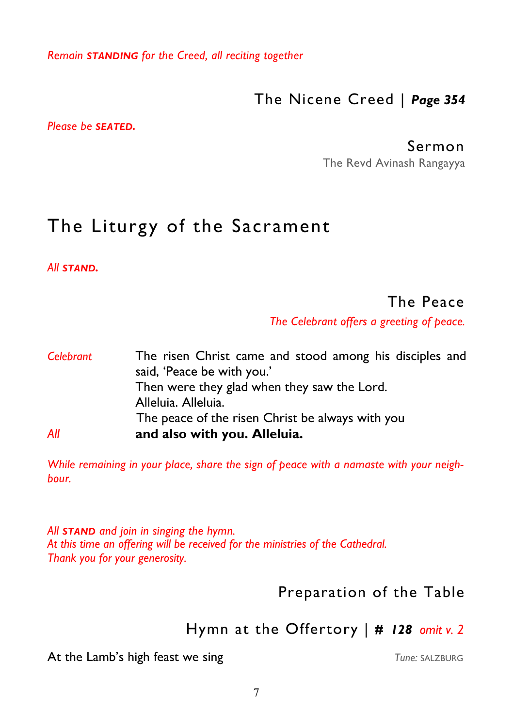*Remain STANDING for the Creed, all reciting together* 

The Nicene Creed | *Page 354* 

*Please be SEATED.* 

#### Sermon

The Revd Avinash Rangayya

# The Liturgy of the Sacrament

*All STAND.* 

#### The Peace

*The Celebrant offers a greeting of peace.*

| Celebrant | The risen Christ came and stood among his disciples and |
|-----------|---------------------------------------------------------|
|           | said, 'Peace be with you.'                              |
|           | Then were they glad when they saw the Lord.             |
|           | Alleluia. Alleluia.                                     |
|           | The peace of the risen Christ be always with you        |
| All       | and also with you. Alleluia.                            |

*While remaining in your place, share the sign of peace with a namaste with your neighbour.* 

*All STAND and join in singing the hymn. At this time an offering will be received for the ministries of the Cathedral. Thank you for your generosity.* 

## Preparation of the Table

## Hymn at the Offertory | *# 128 omit v. 2*

At the Lamb's high feast we sing<br>
Tune: SALZBURG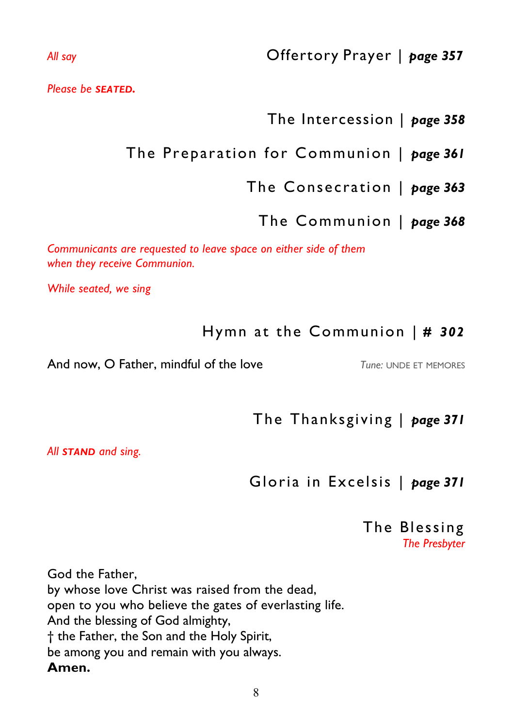*Please be SEATED.* 

## The Intercession | *page 358*

# The Preparation for Communion | *page 361*

## The Consecration | *page 363*

The Communion | *page 368* 

*Communicants are requested to leave space on either side of them when they receive Communion.* 

*While seated, we sing* 

## Hymn at the Communion | *# 302*

And now, O Father, mindful of the love *Tune: UNDE ET MEMORES* 

The Thanksgiving | *page 371* 

*All STAND and sing.* 

Gloria in Excelsis | *page 371* 

#### The Blessing *The Presbyter*

God the Father, by whose love Christ was raised from the dead, open to you who believe the gates of everlasting life. And the blessing of God almighty, † the Father, the Son and the Holy Spirit, be among you and remain with you always. **Amen.**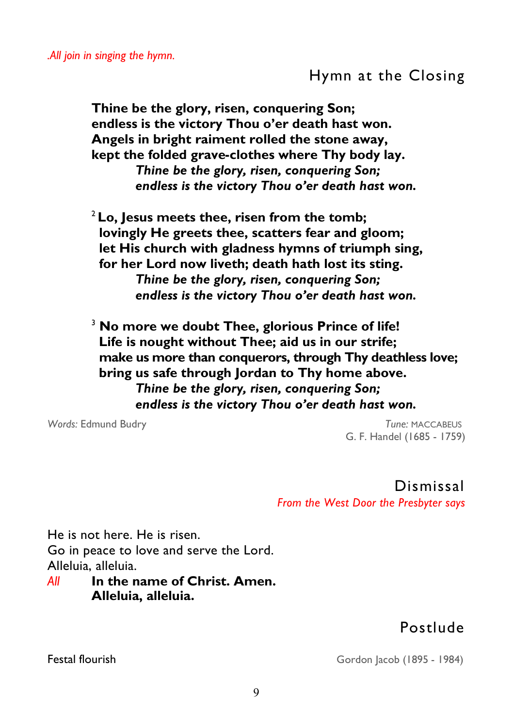## Hymn at the Closing

**Thine be the glory, risen, conquering Son; endless is the victory Thou o'er death hast won. Angels in bright raiment rolled the stone away, kept the folded grave-clothes where Thy body lay.**  *Thine be the glory, risen, conquering Son; endless is the victory Thou o'er death hast won.*

<sup>2</sup>**Lo, Jesus meets thee, risen from the tomb; lovingly He greets thee, scatters fear and gloom; let His church with gladness hymns of triumph sing, for her Lord now liveth; death hath lost its sting.** *Thine be the glory, risen, conquering Son;* *endless is the victory Thou o'er death hast won.*

<sup>3</sup> **No more we doubt Thee, glorious Prince of life! Life is nought without Thee; aid us in our strife; make us more than conquerors, through Thy deathless love; bring us safe through Jordan to Thy home above.** *Thine be the glory, risen, conquering Son;* *endless is the victory Thou o'er death hast won.*

*Words:* Edmund Budry *Tune:* MACCABEUS G. F. Handel (1685 - 1759)

> Dismissal *From the West Door the Presbyter says*

He is not here. He is risen. Go in peace to love and serve the Lord. Alleluia, alleluia.

#### *All* **In the name of Christ. Amen. Alleluia, alleluia.**

## Postlude

Festal flourish Gordon Jacob (1895 - 1984)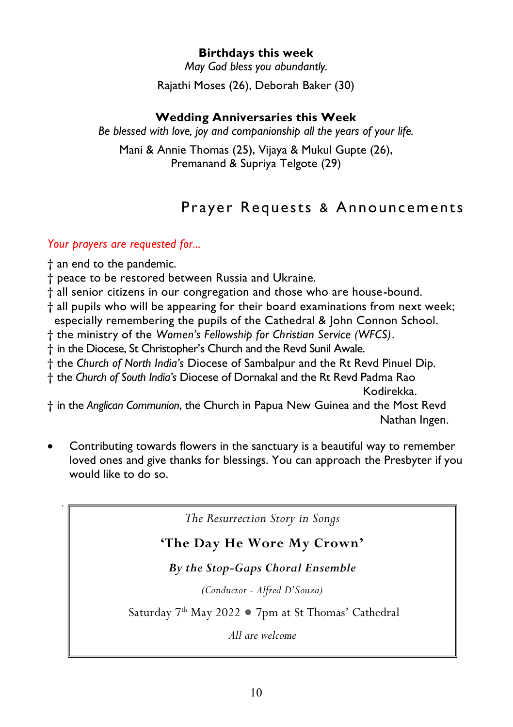#### **Birthdays this week**

*May God bless you abundantly.* 

Rajathi Moses (26), Deborah Baker (30)

#### **Wedding Anniversaries this Week**

*Be blessed with love, joy and companionship all the years of your life.* 

Mani & Annie Thomas (25), Vijaya & Mukul Gupte (26), Premanand & Supriya Telgote (29)

# Prayer Requests & Announcements

#### *Your prayers are requested for...*

† an end to the pandemic.

*.* 

- † peace to be restored between Russia and Ukraine.
- † all senior citizens in our congregation and those who are house-bound.
- † all pupils who will be appearing for their board examinations from next week; especially remembering the pupils of the Cathedral & John Connon School.
- † the ministry of the *Women's Fellowship for Christian Service (WFCS)*.
- † in the Diocese, St Christopher's Church and the Revd Sunil Awale.
- † the *Church of North India's* Diocese of Sambalpur and the Rt Revd Pinuel Dip.
- † the *Church of South India's* Diocese of Dornakal and the Rt Revd Padma Rao Kodirekka.

† in the *Anglican Communion*, the Church in Papua New Guinea and the Most Revd Nathan Ingen.

 Contributing towards flowers in the sanctuary is a beautiful way to remember loved ones and give thanks for blessings. You can approach the Presbyter if you would like to do so.

*The Resurrection Story in Songs* 

#### **'The Day He Wore My Crown'**

#### *By the Stop-Gaps Choral Ensemble*

*(Conductor - Alfred D'Souza)*

Saturday 7th May 2022 ● 7pm at St Thomas' Cathedral

*All are welcome*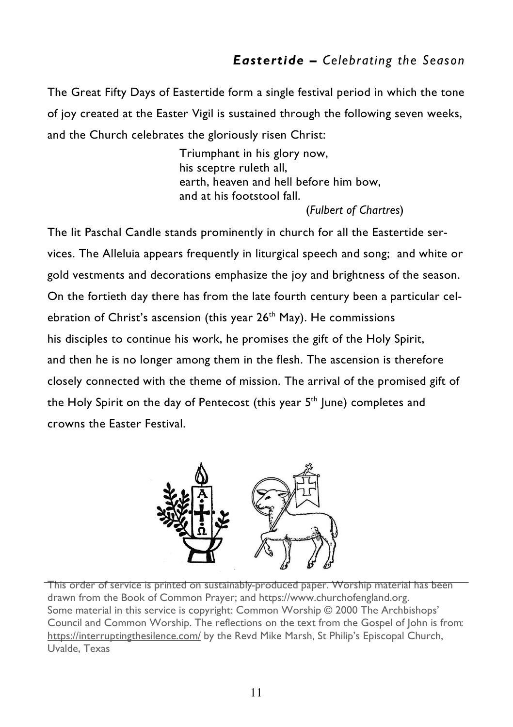#### *Eastertide – Celebrating the Season*

The Great Fifty Days of Eastertide form a single festival period in which the tone of joy created at the Easter Vigil is sustained through the following seven weeks, and the Church celebrates the gloriously risen Christ:

> Triumphant in his glory now, his sceptre ruleth all, earth, heaven and hell before him bow, and at his footstool fall. (*Fulbert of Chartres*)

The lit Paschal Candle stands prominently in church for all the Eastertide services. The Alleluia appears frequently in liturgical speech and song; and white or gold vestments and decorations emphasize the joy and brightness of the season. On the fortieth day there has from the late fourth century been a particular celebration of Christ's ascension (this year 26<sup>th</sup> May). He commissions his disciples to continue his work, he promises the gift of the Holy Spirit, and then he is no longer among them in the flesh. The ascension is therefore closely connected with the theme of mission. The arrival of the promised gift of the Holy Spirit on the day of Pentecost (this year 5<sup>th</sup> June) completes and crowns the Easter Festival.



This order of service is printed on sustainably-produced paper. Worship material has been drawn from the Book of Common Prayer; and https://www.churchofengland.org. Some material in this service is copyright: Common Worship © 2000 The Archbishops' Council and Common Worship. The reflections on the text from the Gospel of John is from: [https://interruptingthesilence.com/ b](https://interruptingthesilence.com/)y the Revd Mike Marsh, St Philip's Episcopal Church, Uvalde, Texas